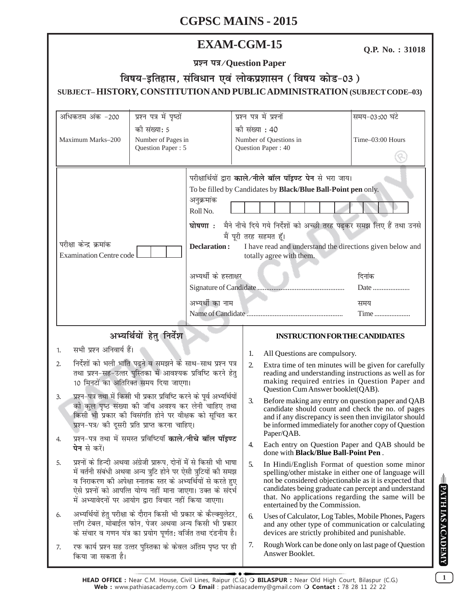# **EXAM-CGM-15**

**Q.P. No. : 31018**

**प्रश्न पत्र/Question Paper** 

# <u>faषय-इतिहास, संविधान एवं लोकप्रशासन (विषय कोड-03)</u> **SUBJECT– HISTORY, CONSTITUTION AND PUBLIC ADMINISTRATION (SUBJECT CODE–03)**

| अधिकतम अंक -200                                                                                                                                                                                                                                                                                                                                                                                                                                                                                                                                                                                                                                                                                                                                                                                                                                           | प्रश्न पत्र में पृष्ठों                                                                                                                                                                  |                                                                                                                                                                                                                                                                                                                                                                                                                                             | प्रश्न पत्र में प्रश्नों                     |                                                                                                                                                                                                      | समय-03:00 घंटे                                                                                                                                                                                                                                                                |
|-----------------------------------------------------------------------------------------------------------------------------------------------------------------------------------------------------------------------------------------------------------------------------------------------------------------------------------------------------------------------------------------------------------------------------------------------------------------------------------------------------------------------------------------------------------------------------------------------------------------------------------------------------------------------------------------------------------------------------------------------------------------------------------------------------------------------------------------------------------|------------------------------------------------------------------------------------------------------------------------------------------------------------------------------------------|---------------------------------------------------------------------------------------------------------------------------------------------------------------------------------------------------------------------------------------------------------------------------------------------------------------------------------------------------------------------------------------------------------------------------------------------|----------------------------------------------|------------------------------------------------------------------------------------------------------------------------------------------------------------------------------------------------------|-------------------------------------------------------------------------------------------------------------------------------------------------------------------------------------------------------------------------------------------------------------------------------|
| को संख्या: 5<br>Maximum Marks-200<br>Number of Pages in<br>Question Paper: 5                                                                                                                                                                                                                                                                                                                                                                                                                                                                                                                                                                                                                                                                                                                                                                              |                                                                                                                                                                                          | की संख्या : 40                                                                                                                                                                                                                                                                                                                                                                                                                              | Number of Questions in<br>Question Paper: 40 | Time-03:00 Hours                                                                                                                                                                                     |                                                                                                                                                                                                                                                                               |
| परीक्षा केन्द्र क्रमांक<br><b>Examination Centre code</b>                                                                                                                                                                                                                                                                                                                                                                                                                                                                                                                                                                                                                                                                                                                                                                                                 |                                                                                                                                                                                          | परीक्षार्थियों द्वारा काले/नीले बॉल पॉइण्ट पेन से भरा जाय।<br>To be filled by Candidates by Black/Blue Ball-Point pen only.<br>अनुक्रमांक<br>Roll No.<br>घोषणा: मैने नीचे दिये गये निर्देशों को अच्छी तरह पढ़कर समझ लिए हैं तथा उनसे<br>मैं पूरी तरह सहमत हूँ।<br><b>Declaration:</b><br>I have read and understand the directions given below and<br>totally agree with them.<br>अभ्यर्थी के हस्ताक्षर<br>दिनांक<br>अभ्यर्थी का नाम<br>समय |                                              | Date<br>Time                                                                                                                                                                                         |                                                                                                                                                                                                                                                                               |
|                                                                                                                                                                                                                                                                                                                                                                                                                                                                                                                                                                                                                                                                                                                                                                                                                                                           | अभ्यर्थियों हेतु निर्देश                                                                                                                                                                 |                                                                                                                                                                                                                                                                                                                                                                                                                                             |                                              | <b>INSTRUCTION FOR THE CANDIDATES</b>                                                                                                                                                                |                                                                                                                                                                                                                                                                               |
| सभी प्रश्न अनिवार्य हैं।<br>1.                                                                                                                                                                                                                                                                                                                                                                                                                                                                                                                                                                                                                                                                                                                                                                                                                            |                                                                                                                                                                                          |                                                                                                                                                                                                                                                                                                                                                                                                                                             | 1.                                           | All Questions are compulsory.                                                                                                                                                                        |                                                                                                                                                                                                                                                                               |
| निर्देशों को भली भांति पढ़ने व समझने के साथ-साथ प्रश्न पत्र<br>2.<br>तथा प्रश्न-सह-उत्तर पुस्तिका में आवश्यक प्रविष्टि करने हेतु<br>10 मिनटों का अतिरिक्त समय दिया जाएगा।<br>प्रश्न-पत्र तथा में किसी भी प्रकार प्रविष्टि करने के पूर्व अभ्यर्थियों<br>3.<br>को कुल पृष्ठ संख्या की जाँच अवश्य कर लेनी चाहिए तथा<br>किसी भी प्रकार की विसंगति होने पर वीक्षक को सूचित कर<br>प्रश्न-पत्र/ की दूसरी प्रति प्राप्त करना चाहिए।<br>प्रश्न-पत्र तथा में समस्त प्रविष्टियाँ काले/नीचे बॉल पॉइण्ट<br><b>पेन</b> से करें।<br>प्रश्नों के हिन्दी अथवा अंग्रेजी प्रारूप, दोनों में से किसी भी भाषा<br>5.<br>में वर्तनी संबंधी अथवा अन्य त्रुटि होने पर ऐसी त्रुटियों की समझ<br>व निराकरण की अपेक्षा स्नातक स्तर के अभ्यर्थियों से करते हुए<br>ऐसे प्रश्नों को आपत्ति योग्य नहीं माना जाएगा। उक्त के संदर्भ<br>में अभ्यावेदनों पर आयोग द्वारा विचार नहीं किया जाएगा। |                                                                                                                                                                                          |                                                                                                                                                                                                                                                                                                                                                                                                                                             | $\overline{2}$ .                             | Extra time of ten minutes will be given for carefully<br>reading and understanding instructions as well as for<br>making required entries in Question Paper and<br>Question Cum Answer booklet(QAB). |                                                                                                                                                                                                                                                                               |
|                                                                                                                                                                                                                                                                                                                                                                                                                                                                                                                                                                                                                                                                                                                                                                                                                                                           |                                                                                                                                                                                          |                                                                                                                                                                                                                                                                                                                                                                                                                                             | 3.                                           | Paper/QAB.                                                                                                                                                                                           | Before making any entry on question paper and QAB<br>candidate should count and check the no. of pages<br>and if any discrepancy is seen then invigilator should<br>be informed immediately for another copy of Question                                                      |
|                                                                                                                                                                                                                                                                                                                                                                                                                                                                                                                                                                                                                                                                                                                                                                                                                                                           |                                                                                                                                                                                          |                                                                                                                                                                                                                                                                                                                                                                                                                                             | 4.                                           | done with <b>Black/Blue Ball-Point Pen</b> .                                                                                                                                                         | Each entry on Question Paper and QAB should be                                                                                                                                                                                                                                |
|                                                                                                                                                                                                                                                                                                                                                                                                                                                                                                                                                                                                                                                                                                                                                                                                                                                           |                                                                                                                                                                                          |                                                                                                                                                                                                                                                                                                                                                                                                                                             | 5.                                           | entertained by the Commission.                                                                                                                                                                       | In Hindi/English Format of question some minor<br>spelling/other mistake in either one of language will<br>not be considered objectionable as it is expected that<br>candidates being graduate can percept and understand<br>that. No applications regarding the same will be |
| 6.                                                                                                                                                                                                                                                                                                                                                                                                                                                                                                                                                                                                                                                                                                                                                                                                                                                        | अभ्यर्थियों हेतु परीक्षा के दौरान किसी भी प्रकार के कैल्क्युलेटर,<br>लॉग टेबल, मोबाईल फोन, पेजर अथवा अन्य किसी भी प्रकार<br>के संचार व गणन यंत्र का प्रयोग पूर्णत: वर्जित तथा दंडनीय है। |                                                                                                                                                                                                                                                                                                                                                                                                                                             | 6.                                           | devices are strictly prohibited and punishable.                                                                                                                                                      | Uses of Calculator, Log Tables, Mobile Phones, Pagers<br>and any other type of communication or calculating                                                                                                                                                                   |
| 7.<br>किया जा सकता है।                                                                                                                                                                                                                                                                                                                                                                                                                                                                                                                                                                                                                                                                                                                                                                                                                                    | रफ कार्य प्रश्न सह उत्तर पुस्तिका के केवल अंतिम पृष्ठ पर ही                                                                                                                              |                                                                                                                                                                                                                                                                                                                                                                                                                                             | 7.                                           | Rough Work can be done only on last page of Question<br>Answer Booklet.                                                                                                                              |                                                                                                                                                                                                                                                                               |

**1**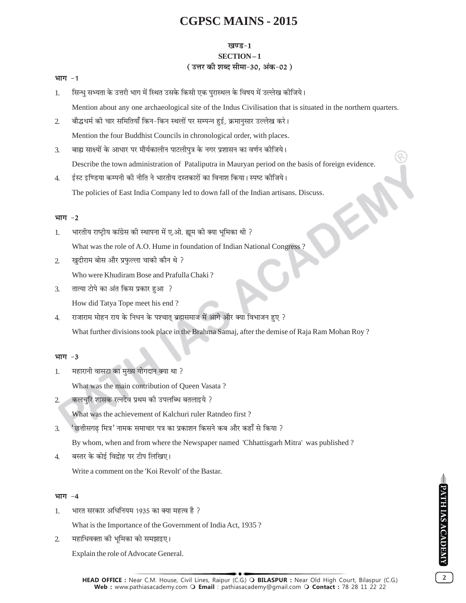#### **खण्ड-1 SECTION-1** (उत्तर की शब्द सीमा-30, अंक-02)

#### भाग $-1$

- सिन्धु सभ्यता के उत्तरी भाग में स्थित उसके किसी एक पुरास्थल के विषय में उल्लेख कीजिये।  $\mathbf{1}$ Mention about any one archaeological site of the Indus Civilisation that is situated in the northern quarters.
- बौद्धधर्म की चार समितियाँ किन-किन स्थलों पर सम्पन्न हुई, क्रमानुसार उल्लेख करे।  $\mathcal{L}$ Mention the four Buddhist Councils in chronological order, with places.
- बाह्य साक्ष्यों के आधार पर मौर्यकालीन पाटलीपुत्र के नगर प्रशासन का वर्णन कीजिये।  $\mathcal{F}_{\mathcal{L}}$ Describe the town administration of Pataliputra in Mauryan period on the basis of foreign evidence.
- ईस्ट इण्डिया कम्पनी की नीति ने भारतीय दस्तकारों का विनाश किया। स्पष्ट कीजिये।  $\overline{4}$ . The policies of East India Company led to down fall of the Indian artisans. Discuss.

#### भाग -2

- भारतीय राष्टीय कांग्रेस की स्थापना में ए.ओ. ह्यम की क्या भमिका थी ?  $\mathbf{1}$ What was the role of A.O. Hume in foundation of Indian National Congress?
- खुदीराम बोस और प्रफुल्ला चाकी कौन थे ?  $\overline{2}$ .

Who were Khudiram Bose and Prafulla Chaki?

तात्या टोपे का अंत किस प्रकार हुआ ?  $\overline{3}$ .

How did Tatya Tope meet his end?

राजाराम मोहन राय के निधन के पश्चात् ब्रह्मसमाज में आगे और क्या विभाजन हुए ?  $\overline{4}$ . What further divisions took place in the Brahma Samaj, after the demise of Raja Ram Mohan Roy?

#### भाग -3

महारानी वासटा का मुख्य योगदान क्या था ?  $1.$ 

What was the main contribution of Queen Vasata?

- कलचरि शासक रत्नदेव प्रथम की उपलब्धि बतलाइये ?  $\mathcal{L}$ What was the achievement of Kalchuri ruler Ratndeo first?
- 'छत्तीसगढ मित्र' नामक समाचार पत्र का प्रकाशन किसने कब और कहाँ से किया ? 3.

By whom, when and from where the Newspaper named 'Chhattisgarh Mitra' was published?

बस्तर के कोई विद्रोह पर टीप लिखिए।  $\overline{4}$ .

Write a comment on the 'Koi Revolt' of the Bastar.

#### भाग $-4$

भारत सरकार अधिनियम 1935 का क्या महत्व है ? 1.

What is the Importance of the Government of India Act, 1935?

 $\mathcal{L}$ महाधिवक्ता की भूमिका को समझाइए।

Explain the role of Advocate General.

 $\overline{2}$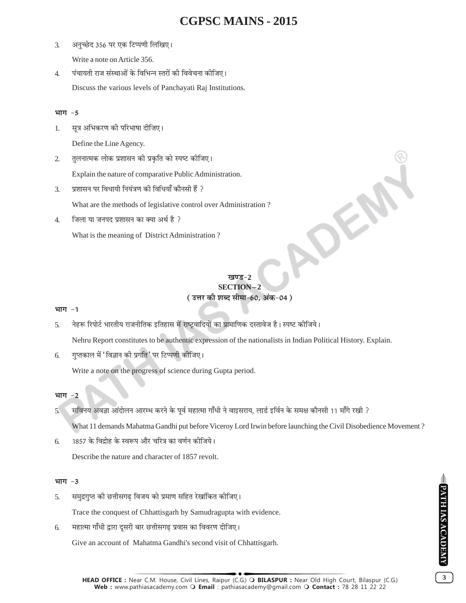- अनुच्छेद 356 पर एक टिप्पणी लिखिए।  $\overline{3}$ . Write a note on Article 356.
- पंचायती राज संस्थाओं के विभिन्न स्तरों की विवेचना कीजिए।  $\overline{4}$ Discuss the various levels of Panchayati Raj Institutions.

#### भाग -5

सूत्र अभिकरण की परिभाषा दीजिए। 1.

Define the Line Agency.

तुलनात्मक लोक प्रशासन की प्रकृति को स्पष्ट कीजिए।  $2.$ 

Explain the nature of comparative Public Administration.

प्रशासन पर विधायी नियंत्रण की विधियाँ कौनसी हैं ?  $\overline{3}$ .

What are the methods of legislative control over Administration?

 $\overline{4}$ . जिला या जनपद प्रशासन का क्या अर्थ है ?

What is the meaning of District Administration?

# **SECTION-2** (उत्तर की शब्द सीमा-60, अंक-04)

#### भाग -1

नेहरू रिपोर्ट भारतीय राजनीतिक इतिहास में राष्ट्रवादियों का प्रामाणिक दस्तावेज है। स्पष्ट कीजिये।  $\overline{5}$ 

Nehru Report constitutes to be authentic expression of the nationalists in Indian Political History. Explain.

गुप्तकाल में 'विज्ञान की प्रगति' पर टिप्पणी कीजिए। 6.

Write a note on the progress of science during Gupta period.

#### भाग  $-2$

सविनय अवज्ञा आंदोलन आरम्भ करने के पूर्व महात्मा गाँधी ने वाइसराय, लार्ड इर्विन के समक्ष कौनसी 11 माँगे रखी ?  $5.$ 

What 11 demands Mahatma Gandhi put before Viceroy Lord Irwin before launching the Civil Disobedience Movement?

1857 के विद्रोह के स्वरूप और चरित्र का वर्णन कोजिये। 6.

Describe the nature and character of 1857 revolt.

#### भाग -3

- समुद्रगुप्त की छत्तीसगढ़ विजय को प्रमाण सहित रेखांकित कीजिए। 5. Trace the conquest of Chhattisgarh by Samudragupta with evidence.
- महात्मा गाँधी द्वारा दूसरी बार छत्तीसगढ़ प्रवास का विवरण दीजिए। 6.

Give an account of Mahatma Gandhi's second visit of Chhattisgarh.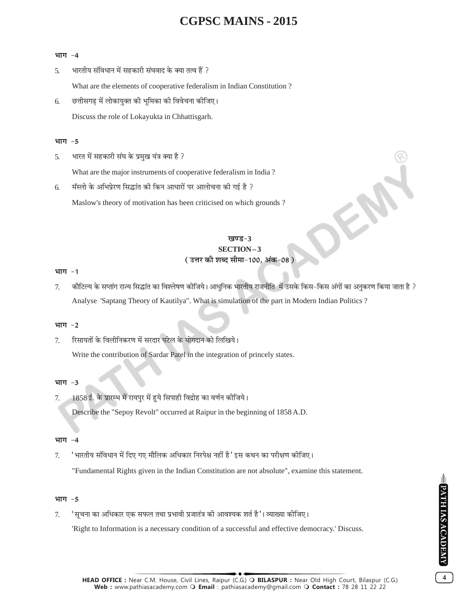#### भाग -4

भारतीय संविधान में सहकारी संघवाद के क्या तत्व हैं ?  $\overline{5}$ .

What are the elements of cooperative federalism in Indian Constitution?

छत्तीसगढ में लोकायुक्त की भूमिका की विवेचना कीजिए। 6. Discuss the role of Lokayukta in Chhattisgarh.

#### भाग $-5$

भारत में सहकारी संघ के प्रमुख यंत्र क्या है ? 5.

What are the major instruments of cooperative federalism in India?

मॅस्लो के अभिप्रेरण सिद्धांत की किन आधारों पर आलोचना की गई है ? 6.

Maslow's theory of motivation has been criticised on which grounds?

#### खण्ड-3 **SECTION-3** (उत्तर की शब्द सीमा-100, अंक-08)

#### भाग $-1$

कौटिल्य के सप्तांग राज्य सिद्धांत का विश्लेषण कीजिये। आधुनिक भारतीय राजनीति में उसके किस–किस अंगों का अनुकरण किया जाता है ? 7. Analyse 'Saptang Theory of Kautilya". What is simulation of the part in Modern Indian Politics ?

#### भाग -2

रिसायतों के विलीनिकरण में सरदार पटेल के योगदान को लिखिये।  $7<sub>1</sub>$ Write the contribution of Sardar Patel in the integration of princely states.

#### भाग -3

1858 ई. के प्रारम्भ में रायपुर में हुये सिपाही विद्रोह का वर्णन कीजिये। 7. Describe the "Sepoy Revolt" occurred at Raipur in the beginning of 1858 A.D.

#### भाग -4

'भारतीय संविधान में दिए गए मौलिक अधिकार निरपेक्ष नहीं है ' इस कथन का परीक्षण कोजिए। 7. "Fundamental Rights given in the Indian Constitution are not absolute", examine this statement.

#### भाग $-5$

'सूचना का अधिकार एक सफल तथा प्रभावी प्रजातंत्र की आवश्यक शर्त है '। व्याख्या कोजिए। 7.

'Right to Information is a necessary condition of a successful and effective democracy.' Discuss.

 $\overline{\mathbf{4}}$